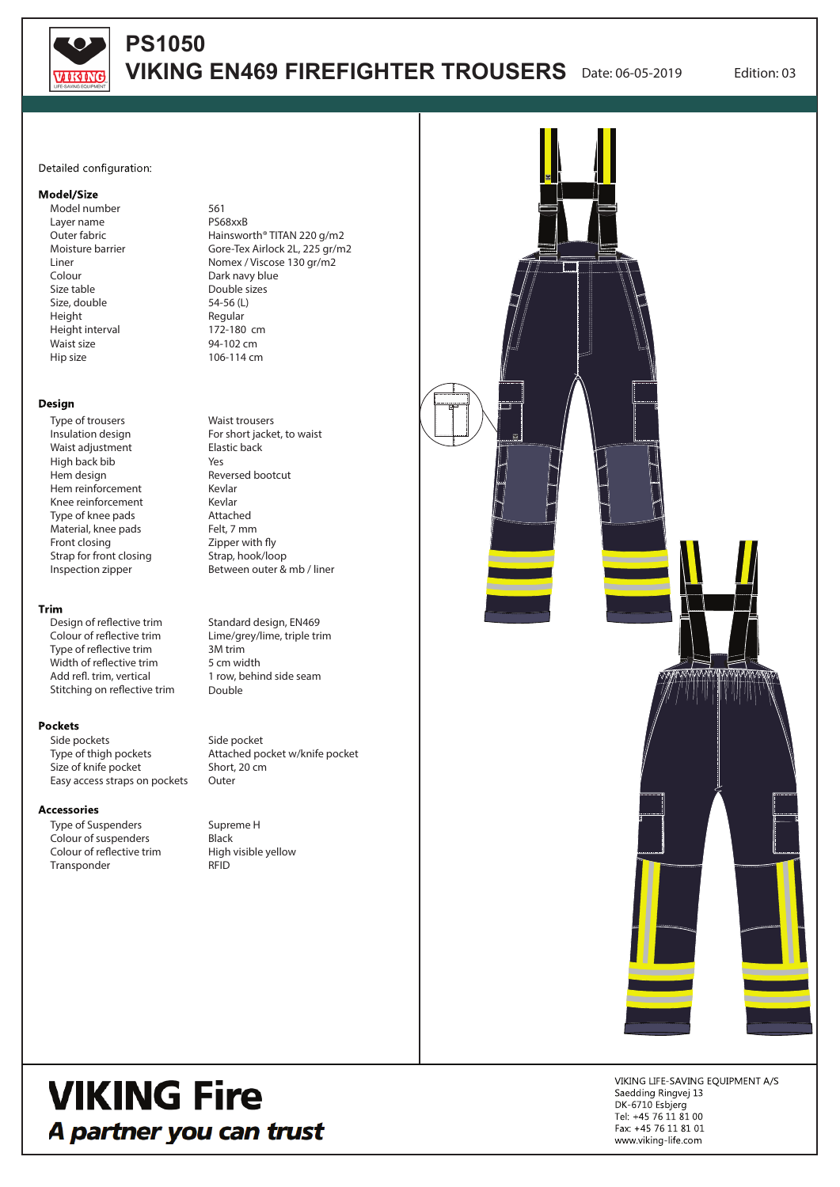

# **PS1050 VIKING EN469 FIREFIGHTER TROUSERS** Date: 06-05-2019 Edition: 03

### Detailed configuration:

# Model/Size

Model number Layer name Outer fabric Moisture barrier Liner Colour Size table Size, double Height Height interval Waist size Hip size

### Design

Type of trousers Insulation design Waist adjustment High back bib Hem design Hem reinforcement Knee reinforcement Type of knee pads Material, knee pads Front closing Strap for front closing Inspection zipper

## Trim

Design of reflective trim Colour of reflective trim Type of reflective trim Width of reflective trim Add refl. trim, vertical Stitching on reflective trim

#### **Pockets**

Side pockets Type of thigh pockets Size of knife pocket Easy access straps on pockets

#### **Accessories**

Type of Suspenders Colour of suspenders Colour of reflective trim Transponder

561 PS68xxB Hainsworth® TITAN 220 g/m2 Gore-Tex Airlock 2L, 225 gr/m2 Nomex / Viscose 130 gr/m2 Dark navy blue Double sizes 54-56 (L) Regular 172-180 cm 94-102 cm 106-114 cm

Waist trousers For short jacket, to waist Elastic back Yes Reversed bootcut Kevlar Kevlar Attached Felt, 7 mm  $Z$ ipper with fly Strap, hook/loop Between outer & mb / liner

Standard design, EN469 Lime/grey/lime, triple trim 3M trim 5 cm width 1 row, behind side seam Double

Side pocket Attached pocket w/knife pocket Short, 20 cm **Outer** 

Supreme H **Black** High visible yellow RFID



# **VIKING Fire** A partner you can trust

VIKING LIFE-SAVING EQUIPMENT A/S Saedding Ringvej 13 DK-6710 Esbjerg Tel: +45 76 11 81 00 Fax: +45 76 11 81 01 www.viking-life.com